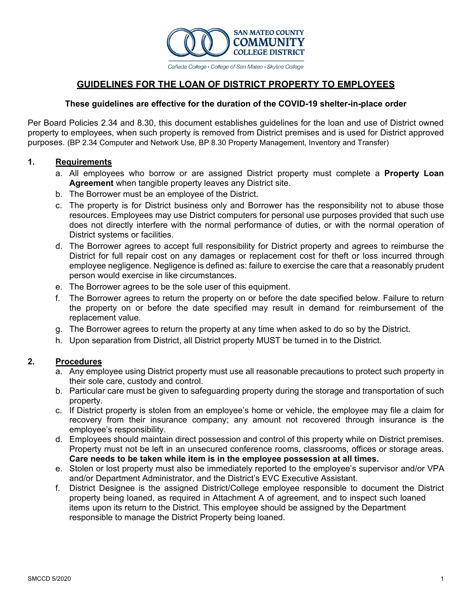

## **GUIDELINES FOR THE LOAN OF DISTRICT PROPERTY TO EMPLOYEES**

#### **These guidelines are effective for the duration of the COVID-19 shelter-in-place order**

Per Board Policies 2.34 and 8.30, this document establishes guidelines for the loan and use of District owned property to employees, when such property is removed from District premises and is used for District approved purposes. (BP 2.34 Computer and Network Use, BP 8.30 Property Management, Inventory and Transfer)

### **1. Requirements**

- a. All employees who borrow or are assigned District property must complete a **Property Loan Agreement** when tangible property leaves any District site.
- b. The Borrower must be an employee of the District.
- c. The property is for District business only and Borrower has the responsibility not to abuse those resources. Employees may use District computers for personal use purposes provided that such use does not directly interfere with the normal performance of duties, or with the normal operation of District systems or facilities.
- d. The Borrower agrees to accept full responsibility for District property and agrees to reimburse the District for full repair cost on any damages or replacement cost for theft or loss incurred through employee negligence. Negligence is defined as: failure to exercise the care that a reasonably prudent person would exercise in like circumstances.
- e. The Borrower agrees to be the sole user of this equipment.
- f. The Borrower agrees to return the property on or before the date specified below. Failure to return the property on or before the date specified may result in demand for reimbursement of the replacement value.
- g. The Borrower agrees to return the property at any time when asked to do so by the District.
- h. Upon separation from District, all District property MUST be turned in to the District.

#### **2. Procedures**

- a. Any employee using District property must use all reasonable precautions to protect such property in their sole care, custody and control.
- b. Particular care must be given to safeguarding property during the storage and transportation of such property.
- c. If District property is stolen from an employee's home or vehicle, the employee may file a claim for recovery from their insurance company; any amount not recovered through insurance is the employee's responsibility.
- d. Employees should maintain direct possession and control of this property while on District premises. Property must not be left in an unsecured conference rooms, classrooms, offices or storage areas. **Care needs to be taken while item is in the employee possession at all times.**
- e. Stolen or lost property must also be immediately reported to the employee's supervisor and/or VPA and/or Department Administrator, and the District's EVC Executive Assistant.
- f. District Designee is the assigned District/College employee responsible to document the District property being loaned, as required in Attachment A of agreement, and to inspect such loaned items upon its return to the District. This employee should be assigned by the Department responsible to manage the District Property being loaned.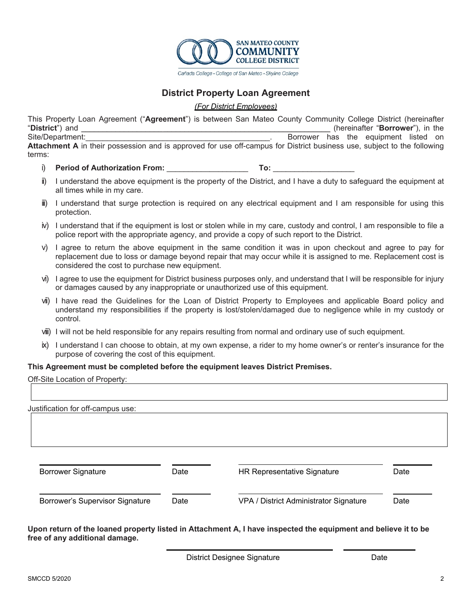

## **District Property Loan Agreement**

*(For District Employees)* 

This Property Loan Agreement ("**Agreement**") is between San Mateo County Community College District (hereinafter "**District**") and *\_\_\_\_\_\_\_\_\_\_\_\_\_\_\_\_\_\_\_*\_\_\_\_\_\_\_\_\_\_\_\_\_\_\_\_\_\_\_\_\_\_\_\_\_\_\_\_\_\_\_\_\_\_\_\_\_\_\_ (hereinafter "**Borrower**"), in the Site/Department: example and the equipment listed on the equipment listed on the equipment listed on **Attachment A** in their possession and is approved for use off-campus for District business use, subject to the following terms:

- i) Period of Authorization From: **To: To: To: To: Note: To: Note: To: Note: To: Note: Note: Note: Note: Note: Note: Note: Note: Note: Note: Note: Note: Note: Note: Note: No**
- ii) I understand the above equipment is the property of the District, and I have a duty to safeguard the equipment at all times while in my care.
- iii) I understand that surge protection is required on any electrical equipment and I am responsible for using this protection.
- iv) I understand that if the equipment is lost or stolen while in my care, custody and control, I am responsible to file a police report with the appropriate agency, and provide a copy of such report to the District.
- v) I agree to return the above equipment in the same condition it was in upon checkout and agree to pay for replacement due to loss or damage beyond repair that may occur while it is assigned to me. Replacement cost is considered the cost to purchase new equipment.
- vi) I agree to use the equipment for District business purposes only, and understand that I will be responsible for injury or damages caused by any inappropriate or unauthorized use of this equipment.
- vii) I have read the Guidelines for the Loan of District Property to Employees and applicable Board policy and understand my responsibilities if the property is lost/stolen/damaged due to negligence while in my custody or control.
- viii) I will not be held responsible for any repairs resulting from normal and ordinary use of such equipment.
- ix) I understand I can choose to obtain, at my own expense, a rider to my home owner's or renter's insurance for the purpose of covering the cost of this equipment.

#### **This Agreement must be completed before the equipment leaves District Premises.**

| Off-Site Location of Property:    |      |                                        |      |
|-----------------------------------|------|----------------------------------------|------|
| Justification for off-campus use: |      |                                        |      |
|                                   |      |                                        |      |
| <b>Borrower Signature</b>         | Date | HR Representative Signature            | Date |
| Borrower's Supervisor Signature   | Date | VPA / District Administrator Signature | Date |

**Upon return of the loaned property listed in Attachment A, I have inspected the equipment and believe it to be free of any additional damage.** 

District Designee Signature **Date** Date